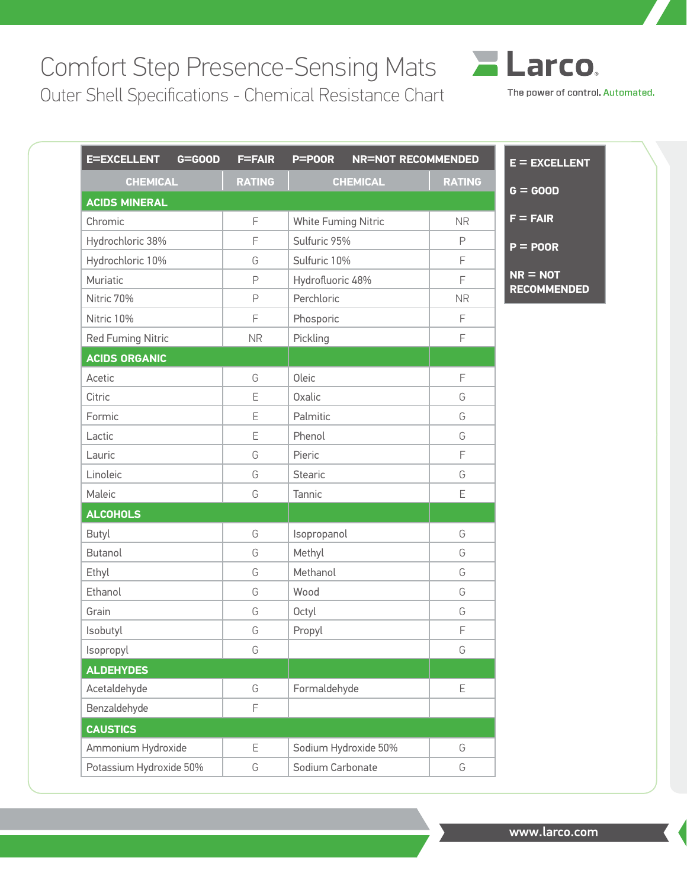## Comfort Step Presence-Sensing Mats

Outer Shell Specifications - Chemical Resistance Chart

| <b>E=EXCELLENT</b><br>$G = GOOD$ | <b>F=FAIR</b> | P=POOR<br><b>NR=NOT RECOMMENDED</b> |               |
|----------------------------------|---------------|-------------------------------------|---------------|
| <b>CHEMICAL</b>                  | <b>RATING</b> | <b>CHEMICAL</b>                     | <b>RATING</b> |
| <b>ACIDS MINERAL</b>             |               |                                     |               |
| Chromic                          | F             | White Fuming Nitric                 | <b>NR</b>     |
| Hydrochloric 38%                 | F             | Sulfuric 95%                        | $\mathsf P$   |
| Hydrochloric 10%                 | G             | Sulfuric 10%                        | F             |
| Muriatic                         | P             | Hydrofluoric 48%                    | F             |
| Nitric 70%                       | P             | Perchloric                          | <b>NR</b>     |
| Nitric 10%                       | F             | Phosporic                           | F             |
| <b>Red Fuming Nitric</b>         | <b>NR</b>     | Pickling                            | F             |
| <b>ACIDS ORGANIC</b>             |               |                                     |               |
| Acetic                           | G             | Oleic                               | F             |
| Citric                           | E             | Oxalic                              | G             |
| Formic                           | Ε             | Palmitic                            | G             |
| Lactic                           | E             | Phenol                              | G             |
| Lauric                           | G             | Pieric                              | F             |
| Linoleic                         | G             | <b>Stearic</b>                      | G             |
| Maleic                           | G             | Tannic                              | Ε             |
| <b>ALCOHOLS</b>                  |               |                                     |               |
| Butyl                            | G             | Isopropanol                         | G             |
| <b>Butanol</b>                   | G             | Methyl                              | G             |
| Ethyl                            | G             | Methanol                            | G             |
| Ethanol                          | G             | Wood                                | G             |
| Grain                            | G             | Octyl                               | G             |
| Isobutyl                         | G             | Propyl                              | F             |
| Isopropyl                        | G             |                                     | G             |
| <b>ALDEHYDES</b>                 |               |                                     |               |
| Acetaldehyde                     | G             | Formaldehyde                        | E             |
| Benzaldehyde                     | F             |                                     |               |
| <b>CAUSTICS</b>                  |               |                                     |               |
| Ammonium Hydroxide               | Е             | Sodium Hydroxide 50%                | G             |
| Potassium Hydroxide 50%          | G             | Sodium Carbonate                    | G             |

**ELarco** 

The power of control. Automated.

**LENT** 

www.larco.com